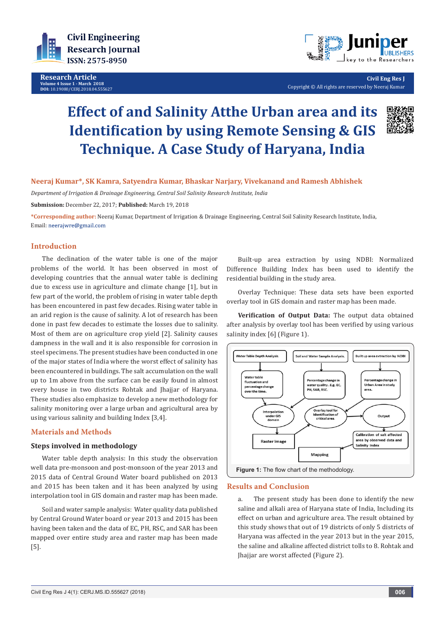

**Research Article**<br>Volume 4 Issue 1 - March 2018 **Volume 4 Issue 1 - March 2018 DOI:** [10.19080/CERJ.2018.04.55562](http://dx.doi.org/10.19080/CERJ.2018.04.555627)7



**Civil Eng Res J** Copyright © All rights are reserved by Neeraj Kumar

# **Effect of and Salinity Atthe Urban area and its Identification by using Remote Sensing & GIS Technique. A Case Study of Haryana, India**



# **Neeraj Kumar\*, SK Kamra, Satyendra Kumar, Bhaskar Narjary, Vivekanand and Ramesh Abhishek**

*Department of Irrigation & Drainage Engineering, Central Soil Salinity Research Institute, India*

**Submission:** December 22, 2017; **Published:** March 19, 2018

**\*Corresponding author:** Neeraj Kumar, Department of Irrigation & Drainage Engineering, Central Soil Salinity Research Institute, India, Email: neerajwre@gmail.com

## **Introduction**

The declination of the water table is one of the major problems of the world. It has been observed in most of developing countries that the annual water table is declining due to excess use in agriculture and climate change [1], but in few part of the world, the problem of rising in water table depth has been encountered in past few decades. Rising water table in an arid region is the cause of salinity. A lot of research has been done in past few decades to estimate the losses due to salinity. Most of them are on agriculture crop yield [2]. Salinity causes dampness in the wall and it is also responsible for corrosion in steel specimens. The present studies have been conducted in one of the major states of India where the worst effect of salinity has been encountered in buildings. The salt accumulation on the wall up to 1m above from the surface can be easily found in almost every house in two districts Rohtak and Jhajjar of Haryana. These studies also emphasize to develop a new methodology for salinity monitoring over a large urban and agricultural area by using various salinity and building Index [3,4].

### **Materials and Methods**

#### **Steps involved in methodology**

Water table depth analysis: In this study the observation well data pre-monsoon and post-monsoon of the year 2013 and 2015 data of Central Ground Water board published on 2013 and 2015 has been taken and it has been analyzed by using interpolation tool in GIS domain and raster map has been made.

Soil and water sample analysis: Water quality data published by Central Ground Water board or year 2013 and 2015 has been having been taken and the data of EC, PH, RSC, and SAR has been mapped over entire study area and raster map has been made [5].

Built-up area extraction by using NDBI: Normalized Difference Building Index has been used to identify the residential building in the study area.

Overlay Technique: These data sets have been exported overlay tool in GIS domain and raster map has been made.

**Verification of Output Data:** The output data obtained after analysis by overlay tool has been verified by using various salinity index [6] (Figure 1).



**Figure 1:** The flow chart of the methodology.

#### **Results and Conclusion**

a. The present study has been done to identify the new saline and alkali area of Haryana state of India, Including its effect on urban and agriculture area. The result obtained by this study shows that out of 19 districts of only 5 districts of Haryana was affected in the year 2013 but in the year 2015, the saline and alkaline affected district tolls to 8. Rohtak and Jhajjar are worst affected (Figure 2).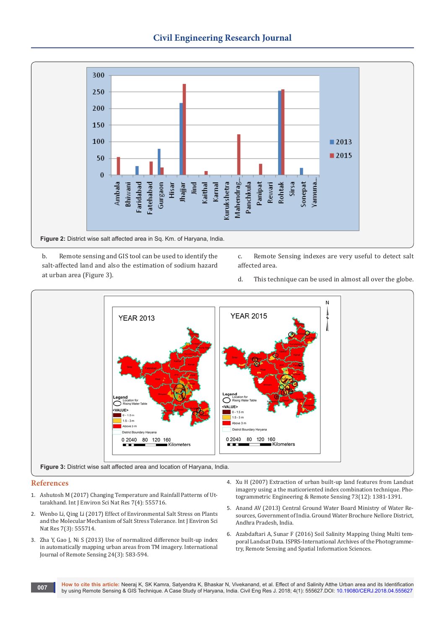

- b. Remote sensing and GIS tool can be used to identify the salt-affected land and also the estimation of sodium hazard at urban area (Figure 3).
- c. Remote Sensing indexes are very useful to detect salt affected area.
- d. This technique can be used in almost all over the globe.



#### **References**

- 1. [Ashutosh M \(2017\) Changing Temperature and Rainfall Patterns of Ut](https://juniperpublishers.com/ijesnr/pdf/IJESNR.MS.ID.555716.pdf)[tarakhand. Int J Environ Sci Nat Res 7\(4\): 555716.](https://juniperpublishers.com/ijesnr/pdf/IJESNR.MS.ID.555716.pdf)
- 2. [Wenbo Li, Qing Li \(2017\) Effect of Environmental Salt Stress on Plants](https://juniperpublishers.com/ijesnr/pdf/IJESNR.MS.ID.555714.pdf)  [and the Molecular Mechanism of Salt Stress Tolerance. Int J Environ Sci](https://juniperpublishers.com/ijesnr/pdf/IJESNR.MS.ID.555714.pdf)  [Nat Res 7\(3\): 555714.](https://juniperpublishers.com/ijesnr/pdf/IJESNR.MS.ID.555714.pdf)
- 3. [Zha Y, Gao J, Ni S \(2013\) Use of normalized difference built-up index](https://www.tandfonline.com/doi/abs/10.1080/01431160304987?journalCode=tres20)  [in automatically mapping urban areas from TM imagery. International](https://www.tandfonline.com/doi/abs/10.1080/01431160304987?journalCode=tres20)  [Journal of Remote Sensing 24\(3\): 583-594.](https://www.tandfonline.com/doi/abs/10.1080/01431160304987?journalCode=tres20)
- 4. [Xu H \(2007\) Extraction of urban built-up land features from Landsat](https://pdfs.semanticscholar.org/eb34/a581daf219fc05bea58ab496a2b576310b3f.pdf)  [imagery using a the maticoriented index combination technique. Pho](https://pdfs.semanticscholar.org/eb34/a581daf219fc05bea58ab496a2b576310b3f.pdf)[togrammetric Engineering & Remote Sensing 73\(12\): 1381-1391.](https://pdfs.semanticscholar.org/eb34/a581daf219fc05bea58ab496a2b576310b3f.pdf)
- 5. Anand AV (2013) Central Ground Water Board Ministry of Water Resources, Government of India. Ground Water Brochure Nellore District, Andhra Pradesh, India.
- 6. Azabdaftari A, Sunar F (2016) Soil Salinity Mapping Using Multi temporal Landsat Data. ISPRS-International Archives of the Photogrammetry, Remote Sensing and Spatial Information Sciences.
- **How to cite this article:** Neeraj K, SK Kamra, Satyendra K, Bhaskar N, Vivekanand, et al. Effect of and Salinity Atthe Urban area and its Identification by using Remote Sensing & GIS Technique. A Case Study of Haryana, India. Civil Eng Res J. 2018; 4(1): 555627.DOI: [10.19080/CERJ.2018.04.55562](http://dx.doi.org/10.19080/CERJ.2018.04.555627)7 **by using Remote Sensing & GIS Technique.** A Case Study of Haryana, India. Civi